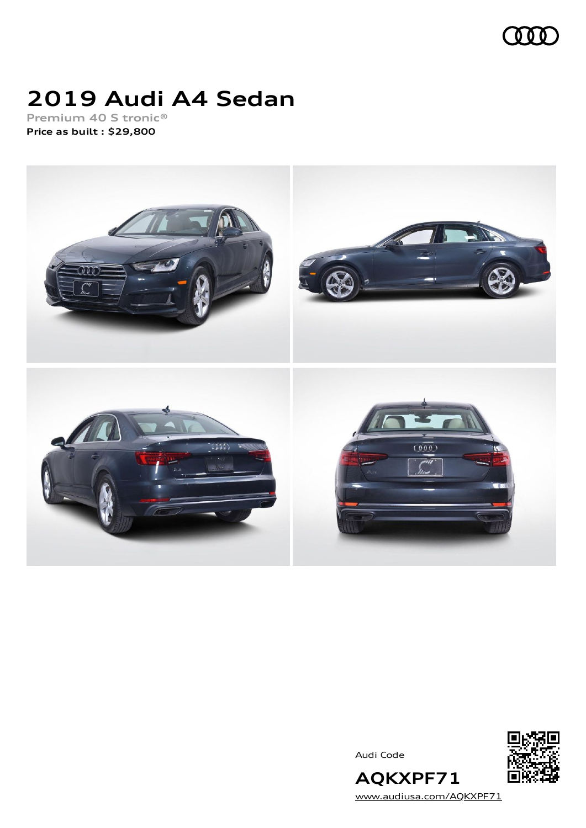

## **2019 Audi A4 Sedan**

**Premium 40 S tronic® Price as built [:](#page-9-0) \$29,800**



Audi Code



[www.audiusa.com/AQKXPF71](https://www.audiusa.com/AQKXPF71)

**AQKXPF71**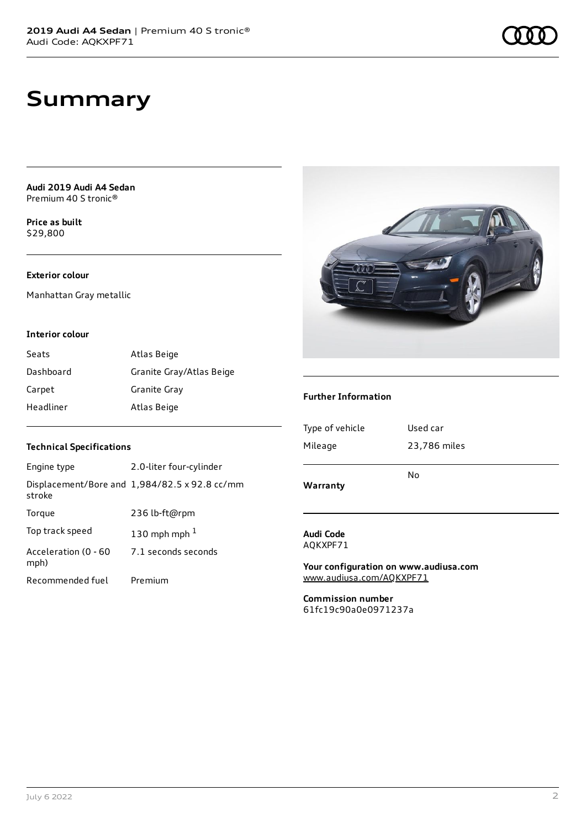**Audi 2019 Audi A4 Sedan** Premium 40 S tronic®

**Price as buil[t](#page-9-0)** \$29,800

#### **Exterior colour**

Manhattan Gray metallic

#### **Interior colour**

| Seats     | Atlas Beige              |
|-----------|--------------------------|
| Dashboard | Granite Gray/Atlas Beige |
| Carpet    | Granite Gray             |
| Headliner | Atlas Beige              |

#### **Technical Specifications**

| Engine type                  | 2.0-liter four-cylinder                       |
|------------------------------|-----------------------------------------------|
| stroke                       | Displacement/Bore and 1,984/82.5 x 92.8 cc/mm |
| Torgue                       | 236 lb-ft@rpm                                 |
| Top track speed              | 130 mph mph $1$                               |
| Acceleration (0 - 60<br>mph) | 7.1 seconds seconds                           |
| Recommended fuel             | Premium                                       |



#### **Further Information**

| Warranty        | No           |
|-----------------|--------------|
| Mileage         | 23,786 miles |
| Type of vehicle | Used car     |
|                 |              |

#### **Audi Code** AQKXPF71

**Your configuration on www.audiusa.com** [www.audiusa.com/AQKXPF71](https://www.audiusa.com/AQKXPF71)

**Commission number** 61fc19c90a0e0971237a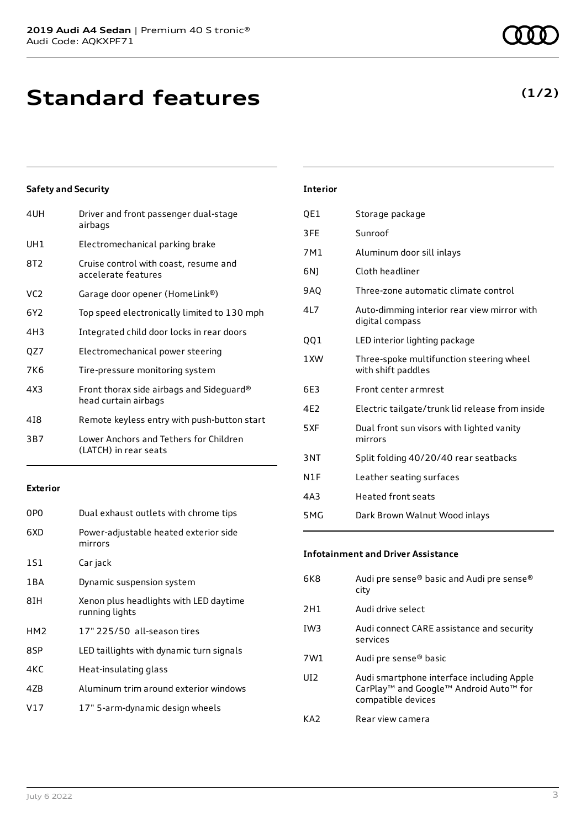**Standard features**

#### **Safety and Security**

| 4UH | Driver and front passenger dual-stage<br>airbags                 |
|-----|------------------------------------------------------------------|
| UH1 | Electromechanical parking brake                                  |
| 8T2 | Cruise control with coast, resume and<br>accelerate features     |
| VC2 | Garage door opener (HomeLink®)                                   |
| 6Y2 | Top speed electronically limited to 130 mph                      |
| 4H3 | Integrated child door locks in rear doors                        |
| QZ7 | Electromechanical power steering                                 |
| 7K6 | Tire-pressure monitoring system                                  |
| 4X3 | Front thorax side airbags and Sideguard®<br>head curtain airbags |
| 418 | Remote keyless entry with push-button start                      |
| 3B7 | Lower Anchors and Tethers for Children<br>(LATCH) in rear seats  |
|     |                                                                  |

#### **Exterior**

| 0P <sub>0</sub> | Dual exhaust outlets with chrome tips                    |
|-----------------|----------------------------------------------------------|
| 6XD             | Power-adjustable heated exterior side<br>mirrors         |
| 1S1             | Car jack                                                 |
| 1 B A           | Dynamic suspension system                                |
| 8IH             | Xenon plus headlights with LED daytime<br>running lights |
| HM <sub>2</sub> | 17" 225/50 all-season tires                              |
| 8SP             | LED taillights with dynamic turn signals                 |
| 4KC             | Heat-insulating glass                                    |
| 47 <sub>B</sub> | Aluminum trim around exterior windows                    |
| V17             | 17" 5-arm-dynamic design wheels                          |
|                 |                                                          |

### **Interior**

| QE1 | Storage package                                                |
|-----|----------------------------------------------------------------|
| 3FE | Sunroof                                                        |
| 7M1 | Aluminum door sill inlays                                      |
| 6N) | Cloth headliner                                                |
| 9AQ | Three-zone automatic climate control                           |
| 4L7 | Auto-dimming interior rear view mirror with<br>digital compass |
| QQ1 | LED interior lighting package                                  |
| 1XW | Three-spoke multifunction steering wheel<br>with shift paddles |
| 6E3 | Front center armrest                                           |
| 4E2 | Electric tailgate/trunk lid release from inside                |
| 5XF | Dual front sun visors with lighted vanity<br>mirrors           |
| 3NT | Split folding 40/20/40 rear seatbacks                          |
| N1F | Leather seating surfaces                                       |
| 4A3 | <b>Heated front seats</b>                                      |
| 5MG | Dark Brown Walnut Wood inlays                                  |

#### **Infotainment and Driver Assistance**

| 6K8             | Audi pre sense® basic and Audi pre sense®<br>city                                                                                 |
|-----------------|-----------------------------------------------------------------------------------------------------------------------------------|
| 2H1             | Audi drive select                                                                                                                 |
| IW <sub>3</sub> | Audi connect CARE assistance and security<br>services                                                                             |
| 7W1             | Audi pre sense® basic                                                                                                             |
| UI <sub>2</sub> | Audi smartphone interface including Apple<br>CarPlay <sup>™</sup> and Google™ Android Auto <sup>™</sup> for<br>compatible devices |
| KA2             | Rear view camera                                                                                                                  |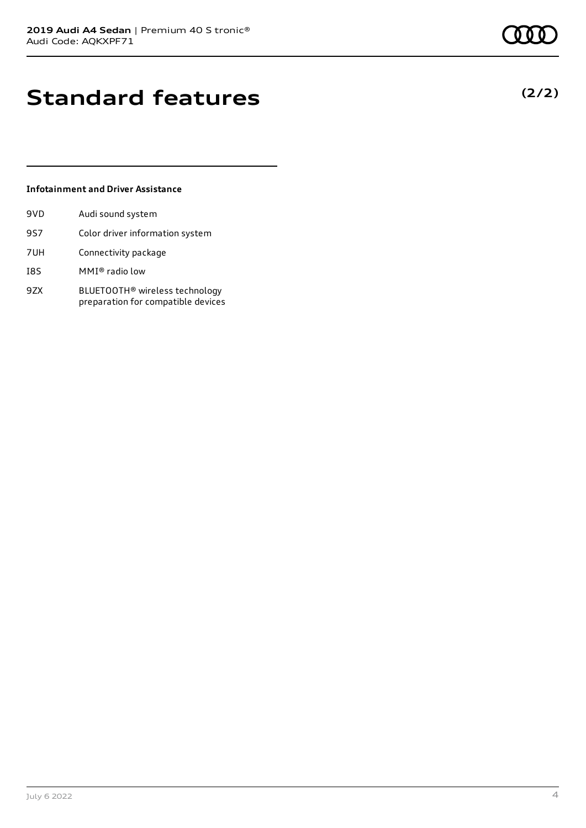# **(2/2)**

### **Standard features**

#### **Infotainment and Driver Assistance**

| 9VD | Audi sound system                                                                |
|-----|----------------------------------------------------------------------------------|
| 9S7 | Color driver information system                                                  |
| 7UH | Connectivity package                                                             |
| I8S | MMI® radio low                                                                   |
| 9ZX | BLUETOOTH <sup>®</sup> wireless technology<br>preparation for compatible devices |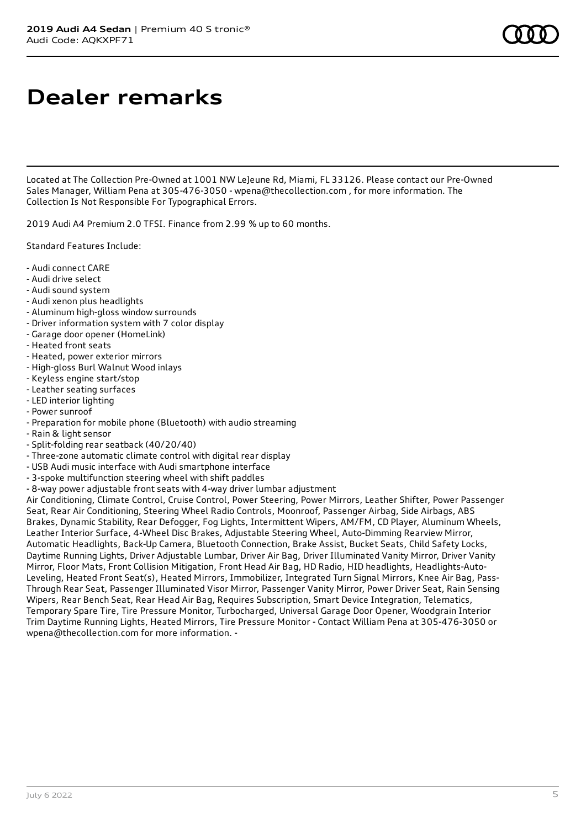### **Dealer remarks**

Located at The Collection Pre-Owned at 1001 NW LeJeune Rd, Miami, FL 33126. Please contact our Pre-Owned Sales Manager, William Pena at 305-476-3050 - wpena@thecollection.com , for more information. The Collection Is Not Responsible For Typographical Errors.

2019 Audi A4 Premium 2.0 TFSI. Finance from 2.99 % up to 60 months.

Standard Features Include:

- Audi connect CARE
- Audi drive select
- Audi sound system
- Audi xenon plus headlights
- Aluminum high-gloss window surrounds
- Driver information system with 7 color display
- Garage door opener (HomeLink)
- Heated front seats
- Heated, power exterior mirrors
- High-gloss Burl Walnut Wood inlays
- Keyless engine start/stop
- Leather seating surfaces
- LED interior lighting
- Power sunroof
- Preparation for mobile phone (Bluetooth) with audio streaming
- Rain & light sensor - Split-folding rear seatback (40/20/40)
- Three-zone automatic climate control with digital rear display
- USB Audi music interface with Audi smartphone interface
- 3-spoke multifunction steering wheel with shift paddles
- 8-way power adjustable front seats with 4-way driver lumbar adjustment

Air Conditioning, Climate Control, Cruise Control, Power Steering, Power Mirrors, Leather Shifter, Power Passenger Seat, Rear Air Conditioning, Steering Wheel Radio Controls, Moonroof, Passenger Airbag, Side Airbags, ABS Brakes, Dynamic Stability, Rear Defogger, Fog Lights, Intermittent Wipers, AM/FM, CD Player, Aluminum Wheels, Leather Interior Surface, 4-Wheel Disc Brakes, Adjustable Steering Wheel, Auto-Dimming Rearview Mirror, Automatic Headlights, Back-Up Camera, Bluetooth Connection, Brake Assist, Bucket Seats, Child Safety Locks, Daytime Running Lights, Driver Adjustable Lumbar, Driver Air Bag, Driver Illuminated Vanity Mirror, Driver Vanity Mirror, Floor Mats, Front Collision Mitigation, Front Head Air Bag, HD Radio, HID headlights, Headlights-Auto-Leveling, Heated Front Seat(s), Heated Mirrors, Immobilizer, Integrated Turn Signal Mirrors, Knee Air Bag, Pass-Through Rear Seat, Passenger Illuminated Visor Mirror, Passenger Vanity Mirror, Power Driver Seat, Rain Sensing Wipers, Rear Bench Seat, Rear Head Air Bag, Requires Subscription, Smart Device Integration, Telematics, Temporary Spare Tire, Tire Pressure Monitor, Turbocharged, Universal Garage Door Opener, Woodgrain Interior Trim Daytime Running Lights, Heated Mirrors, Tire Pressure Monitor - Contact William Pena at 305-476-3050 or wpena@thecollection.com for more information. -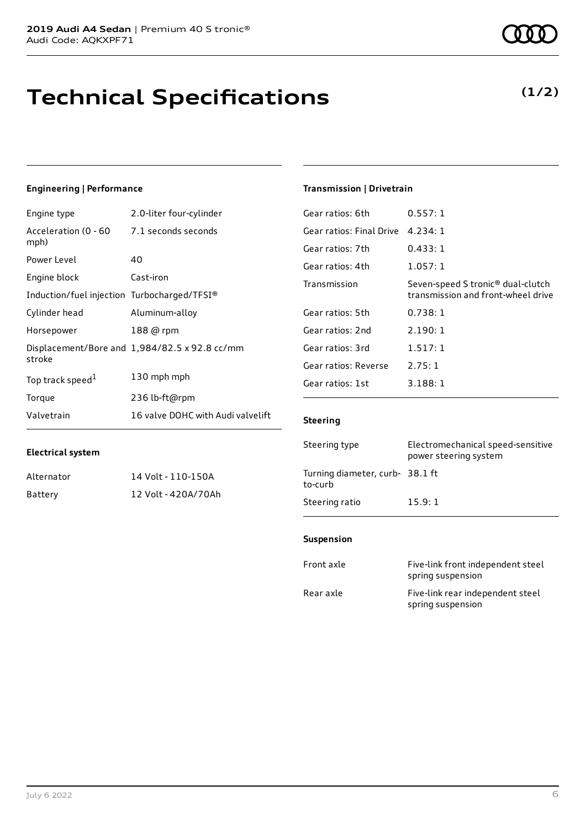## **Technical Specifications**

### **Engineering | Performance**

| Engine type                                 | 2.0-liter four-cylinder                       |
|---------------------------------------------|-----------------------------------------------|
| Acceleration (0 - 60<br>mph)                | 7.1 seconds seconds                           |
| Power Level                                 | 40                                            |
| Engine block                                | Cast-iron                                     |
| Induction/fuel injection Turbocharged/TFSI® |                                               |
| Cylinder head                               | Aluminum-alloy                                |
| Horsepower                                  | 188 @ rpm                                     |
| stroke                                      | Displacement/Bore and 1,984/82.5 x 92.8 cc/mm |
| Top track speed <sup>1</sup>                | 130 mph mph                                   |
| Torque                                      | 236 lb-ft@rpm                                 |
| Valvetrain                                  | 16 valve DOHC with Audi valvelift             |

Alternator 14 Volt - 110-150A Battery 12 Volt - 420A/70Ah

#### **Transmission | Drivetrain**

| Gear ratios: 6th         | 0.557:1                                                                             |
|--------------------------|-------------------------------------------------------------------------------------|
| Gear ratios: Final Drive | 4.234:1                                                                             |
| Gear ratios: 7th         | 0.433: 1                                                                            |
| Gear ratios: 4th         | 1.057:1                                                                             |
| Transmission             | Seven-speed S tronic <sup>®</sup> dual-clutch<br>transmission and front-wheel drive |
| Gear ratios: 5th         | 0.738:1                                                                             |
| Gear ratios: 2nd         | 2.190:1                                                                             |
| Gear ratios: 3rd         | 1.517:1                                                                             |
| Gear ratios: Reverse     | 2.75:1                                                                              |
| Gear ratios: 1st         | 3.188:1                                                                             |
|                          |                                                                                     |

#### **Steering**

| Steering type                             | Electromechanical speed-sensitive<br>power steering system |
|-------------------------------------------|------------------------------------------------------------|
| Turning diameter, curb-38.1 ft<br>to-curb |                                                            |
| Steering ratio                            | 15.9:1                                                     |

#### **Suspension**

| Front axle | Five-link front independent steel<br>spring suspension |
|------------|--------------------------------------------------------|
| Rear axle  | Five-link rear independent steel<br>spring suspension  |

**Electrical system**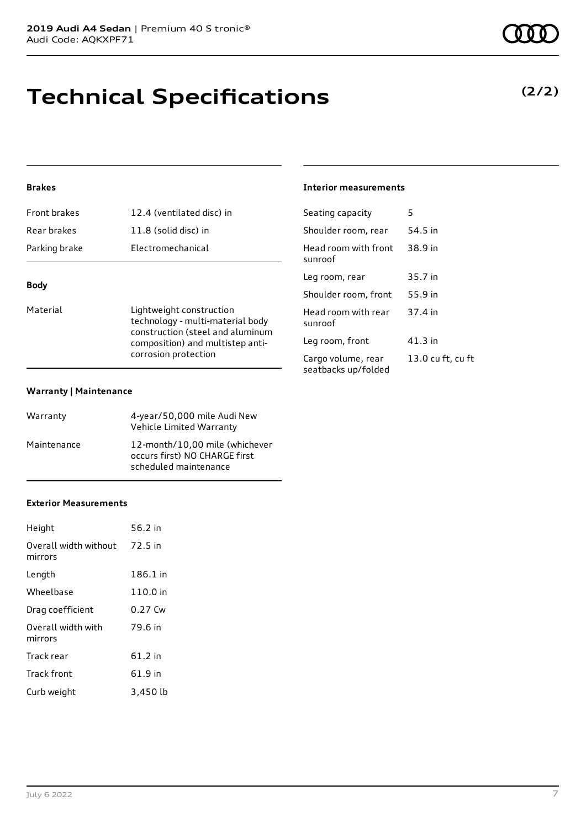### **Technical Specifications**

#### **Brakes**

| <b>Dody</b>   |                           |
|---------------|---------------------------|
| Parking brake | Electromechanical         |
| Rear brakes   | 11.8 (solid disc) in      |
| Front brakes  | 12.4 (ventilated disc) in |

#### **Body**

Material **Lightweight construction** technology - multi-material body construction (steel and aluminum composition) and multistep anticorrosion protection

#### **Warranty | Maintenance**

| Warranty    | 4-year/50,000 mile Audi New<br>Vehicle Limited Warranty                                  |
|-------------|------------------------------------------------------------------------------------------|
| Maintenance | 12-month/10,00 mile (whichever<br>occurs first) NO CHARGE first<br>scheduled maintenance |

#### **Exterior Measurements**

| Height                           | 56.2 in   |
|----------------------------------|-----------|
| Overall width without<br>mirrors | 72.5 in   |
| Length                           | 186.1 in  |
| Wheelbase                        | 110.0 in  |
| Drag coefficient                 | $0.27$ Cw |
| Overall width with<br>mirrors    | 79.6 in   |
| Track rear                       | 61.2 in   |
| <b>Track front</b>               | 61.9 in   |
| Curb weight                      | 3,450 lb  |

#### **Interior measurements**

| Seating capacity                          | 5                 |
|-------------------------------------------|-------------------|
| Shoulder room, rear                       | 54.5 in           |
| Head room with front<br>sunroof           | 38.9 in           |
| Leg room, rear                            | 35.7 in           |
| Shoulder room, front                      | 55.9 in           |
| Head room with rear<br>sunroof            | 37.4 in           |
| Leg room, front                           | 41.3 in           |
| Cargo volume, rear<br>seatbacks up/folded | 13.0 cu ft, cu ft |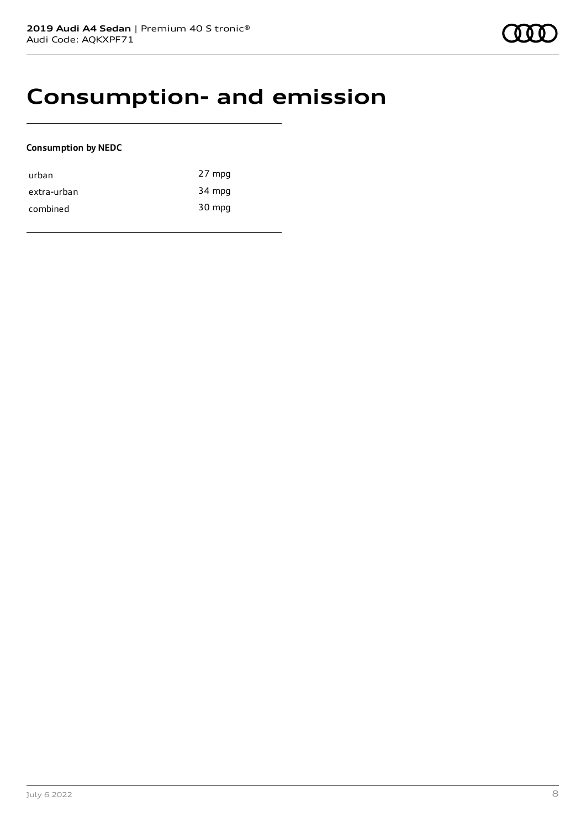### **Consumption- and emission**

#### **Consumption by NEDC**

| urban       | 27 mpg |
|-------------|--------|
| extra-urban | 34 mpg |
| combined    | 30 mpg |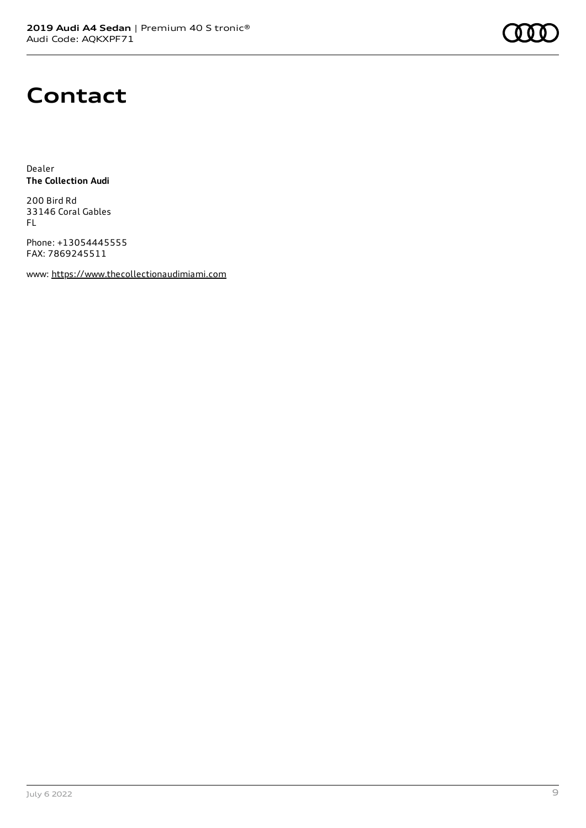

### **Contact**

Dealer **The Collection Audi**

200 Bird Rd 33146 Coral Gables FL

Phone: +13054445555 FAX: 7869245511

www: [https://www.thecollectionaudimiami.com](https://www.thecollectionaudimiami.com/)